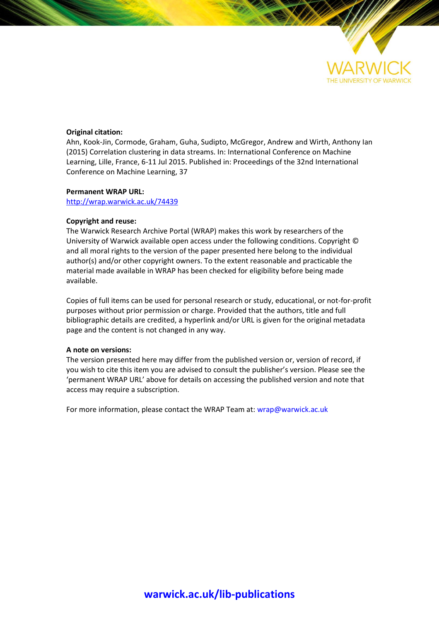

# **Original citation:**

Ahn, Kook-Jin, Cormode, Graham, Guha, Sudipto, McGregor, Andrew and Wirth, Anthony Ian (2015) Correlation clustering in data streams. In: International Conference on Machine Learning, Lille, France, 6-11 Jul 2015. Published in: Proceedings of the 32nd International Conference on Machine Learning, 37

# **Permanent WRAP URL:**

<http://wrap.warwick.ac.uk/74439>

# **Copyright and reuse:**

The Warwick Research Archive Portal (WRAP) makes this work by researchers of the University of Warwick available open access under the following conditions. Copyright © and all moral rights to the version of the paper presented here belong to the individual author(s) and/or other copyright owners. To the extent reasonable and practicable the material made available in WRAP has been checked for eligibility before being made available.

Copies of full items can be used for personal research or study, educational, or not-for-profit purposes without prior permission or charge. Provided that the authors, title and full bibliographic details are credited, a hyperlink and/or URL is given for the original metadata page and the content is not changed in any way.

# **A note on versions:**

The version presented here may differ from the published version or, version of record, if you wish to cite this item you are advised to consult the publisher's version. Please see the 'permanent WRAP URL' above for details on accessing the published version and note that access may require a subscription.

For more information, please contact the WRAP Team at[: wrap@warwick.ac.uk](mailto:wrap@warwick.ac.uk)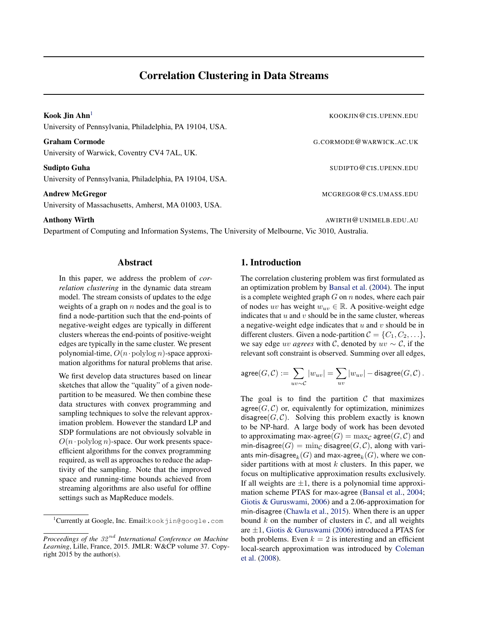University of Pennsylvania, Philadelphia, PA 19104, USA.

G.CORMODE@WARWICK.AC.UK University of Warwick, Coventry CV4 7AL, UK.

Sudipto Guha Subsection of the Subsection of the Subsection of the Subsection of Subsection of the Subsection of Subsection of the Subsection of the Subsection of the Subsection of the Subsection of the Subsection of the S University of Pennsylvania, Philadelphia, PA 19104, USA.

University of Massachusetts, Amherst, MA 01003, USA.

Anthony Wirth AWIRTH@UNIMELB.EDU.AU

Department of Computing and Information Systems, The University of Melbourne, Vic 3010, Australia.

# Abstract

In this paper, we address the problem of *correlation clustering* in the dynamic data stream model. The stream consists of updates to the edge weights of a graph on  $n$  nodes and the goal is to find a node-partition such that the end-points of negative-weight edges are typically in different clusters whereas the end-points of positive-weight edges are typically in the same cluster. We present polynomial-time,  $O(n \cdot \text{polylog } n)$ -space approximation algorithms for natural problems that arise.

We first develop data structures based on linear sketches that allow the "quality" of a given nodepartition to be measured. We then combine these data structures with convex programming and sampling techniques to solve the relevant approximation problem. However the standard LP and SDP formulations are not obviously solvable in  $O(n \cdot \text{polylog } n)$ -space. Our work presents spaceefficient algorithms for the convex programming required, as well as approaches to reduce the adaptivity of the sampling. Note that the improved space and running-time bounds achieved from streaming algorithms are also useful for offline settings such as MapReduce models.

# 1. Introduction

The correlation clustering problem was first formulated as an optimization problem by [Bansal et al.](#page-9-0) [\(2004\)](#page-9-0). The input is a complete weighted graph  $G$  on  $n$  nodes, where each pair of nodes uv has weight  $w_{uv} \in \mathbb{R}$ . A positive-weight edge indicates that  $u$  and  $v$  should be in the same cluster, whereas a negative-weight edge indicates that  $u$  and  $v$  should be in different clusters. Given a node-partition  $C = \{C_1, C_2, \ldots\},\$ we say edge *uv agrees* with C, denoted by  $uv \sim C$ , if the relevant soft constraint is observed. Summing over all edges,

$$
\mathsf{agree}(G, \mathcal{C}) := \sum_{uv \sim \mathcal{C}} |w_{uv}| = \sum_{uv} |w_{uv}| - \mathsf{disagree}(G, \mathcal{C})\,.
$$

The goal is to find the partition  $C$  that maximizes agree( $G, C$ ) or, equivalently for optimization, minimizes disagree $(G, C)$ . Solving this problem exactly is known to be NP-hard. A large body of work has been devoted to approximating max-agree( $G$ ) =  $\max_{\mathcal{C}}$  agree( $G, C$ ) and min-disagree( $G$ ) = min<sub>C</sub> disagree( $G, C$ ), along with variants min-disagree $_{k}(G)$  and max-agree $_{k}(G)$ , where we consider partitions with at most  $k$  clusters. In this paper, we focus on multiplicative approximation results exclusively. If all weights are  $\pm 1$ , there is a polynomial time approximation scheme PTAS for max-agree [\(Bansal et al.,](#page-9-0) [2004;](#page-9-0) [Giotis & Guruswami,](#page-10-0) [2006\)](#page-10-0) and a 2.06-approximation for min-disagree [\(Chawla et al.,](#page-9-0) [2015\)](#page-9-0). When there is an upper bound  $k$  on the number of clusters in  $\mathcal{C}$ , and all weights are ±1, [Giotis & Guruswami](#page-10-0) [\(2006\)](#page-10-0) introduced a PTAS for both problems. Even  $k = 2$  is interesting and an efficient local-search approximation was introduced by [Coleman](#page-9-0) [et al.](#page-9-0) [\(2008\)](#page-9-0).

**Kook Jin Ahn<sup>1</sup> KOOKJIN@CIS.UPENN.EDU** Andrew McGregor Manual Andrew McGregor Music September 2014 and McGregor McGregor McGregor McGregor McGregor McGregor McGregor McGregor McGregor McGregor McGregor McGregor McGregor McGregor McGregor McGregor McGregor McGre

<sup>&</sup>lt;sup>1</sup>Currently at Google, Inc. Email:kookjin@google.com

*Proceedings of the* 32 nd *International Conference on Machine Learning*, Lille, France, 2015. JMLR: W&CP volume 37. Copyright 2015 by the author(s).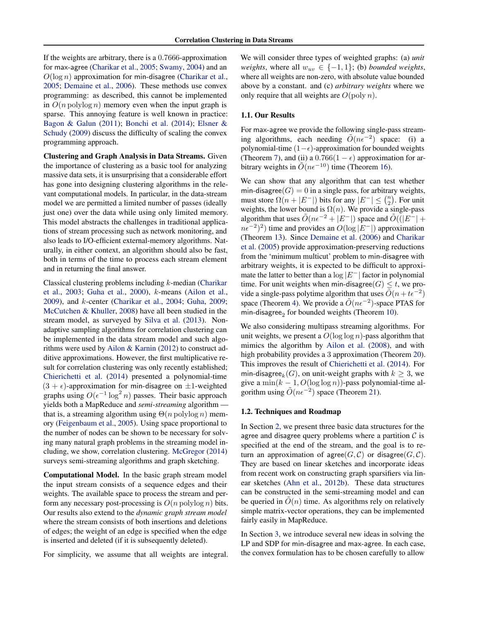If the weights are arbitrary, there is a 0.7666-approximation for max-agree [\(Charikar et al.,](#page-9-0) [2005;](#page-9-0) [Swamy,](#page-10-0) [2004\)](#page-10-0) and an  $O(\log n)$  approximation for min-disagree [\(Charikar et al.,](#page-9-0) [2005;](#page-9-0) [Demaine et al.,](#page-9-0) [2006\)](#page-9-0). These methods use convex programming: as described, this cannot be implemented in  $O(n \text{ polylog } n)$  memory even when the input graph is sparse. This annoying feature is well known in practice: [Bagon & Galun](#page-9-0) [\(2011\)](#page-9-0); [Bonchi et al.](#page-9-0) [\(2014\)](#page-9-0); [Elsner &](#page-9-0) [Schudy](#page-9-0) [\(2009\)](#page-9-0) discuss the difficulty of scaling the convex programming approach.

Clustering and Graph Analysis in Data Streams. Given the importance of clustering as a basic tool for analyzing massive data sets, it is unsurprising that a considerable effort has gone into designing clustering algorithms in the relevant computational models. In particular, in the data-stream model we are permitted a limited number of passes (ideally just one) over the data while using only limited memory. This model abstracts the challenges in traditional applications of stream processing such as network monitoring, and also leads to I/O-efficient external-memory algorithms. Naturally, in either context, an algorithm should also be fast, both in terms of the time to process each stream element and in returning the final answer.

Classical clustering problems including k-median [\(Charikar](#page-9-0) [et al.,](#page-9-0) [2003;](#page-9-0) [Guha et al.,](#page-10-0) [2000\)](#page-10-0), k-means [\(Ailon et al.,](#page-9-0) [2009\)](#page-9-0), and k-center [\(Charikar et al.,](#page-9-0) [2004;](#page-9-0) [Guha,](#page-10-0) [2009;](#page-10-0) [McCutchen & Khuller,](#page-10-0) [2008\)](#page-10-0) have all been studied in the stream model, as surveyed by [Silva et al.](#page-10-0) [\(2013\)](#page-10-0). Nonadaptive sampling algorithms for correlation clustering can be implemented in the data stream model and such algorithms were used by [Ailon & Karnin](#page-9-0) [\(2012\)](#page-9-0) to construct additive approximations. However, the first multiplicative result for correlation clustering was only recently established; [Chierichetti et al.](#page-9-0) [\(2014\)](#page-9-0) presented a polynomial-time  $(3 + \epsilon)$ -approximation for min-disagree on  $\pm 1$ -weighted graphs using  $O(\epsilon^{-1} \log^2 n)$  passes. Their basic approach yields both a MapReduce and *semi-streaming* algorithm that is, a streaming algorithm using  $\Theta(n \text{ polylog } n)$  memory [\(Feigenbaum et al.,](#page-9-0) [2005\)](#page-9-0). Using space proportional to the number of nodes can be shown to be necessary for solving many natural graph problems in the streaming model including, we show, correlation clustering. [McGregor](#page-10-0) [\(2014\)](#page-10-0) surveys semi-streaming algorithms and graph sketching.

Computational Model. In the basic graph stream model the input stream consists of a sequence edges and their weights. The available space to process the stream and perform any necessary post-processing is  $O(n \text{ polylog } n)$  bits. Our results also extend to the *dynamic graph stream model* where the stream consists of both insertions and deletions of edges; the weight of an edge is specified when the edge is inserted and deleted (if it is subsequently deleted).

For simplicity, we assume that all weights are integral.

We will consider three types of weighted graphs: (a) *unit weights*, where all  $w_{uv} \in \{-1, 1\}$ ; (b) *bounded weights*, where all weights are non-zero, with absolute value bounded above by a constant. and (c) *arbitrary weights* where we only require that all weights are  $O(\text{poly } n)$ .

## 1.1. Our Results

For max-agree we provide the following single-pass streaming algorithms, each needing  $\tilde{O}(n\epsilon^{-2})$  space: (i) a polynomial-time  $(1-\epsilon)$ -approximation for bounded weights (Theorem [7\)](#page-4-0), and (ii) a  $0.766(1 - \epsilon)$  approximation for arbitrary weights in  $\tilde{O}(n\epsilon^{-10})$  time (Theorem [16\)](#page-7-0).

We can show that any algorithm that can test whether min-disagree( $G$ ) = 0 in a single pass, for arbitrary weights, must store  $\Omega(n+|E^-|)$  bits for any  $|E^-| \leq {n \choose 2}$ . For unit weights, the lower bound is  $\Omega(n)$ . We provide a single-pass algorithm that uses  $\tilde{O}(n\epsilon^{-2} + |E^{-}|)$  space and  $\tilde{O}(|E^{-}| +$  $n\epsilon^{-2}$ )<sup>2</sup>) time and provides an  $O(\log|E^{-}|)$  approximation (Theorem [13\)](#page-6-0). Since [Demaine et al.](#page-9-0) [\(2006\)](#page-9-0) and [Charikar](#page-9-0) [et al.](#page-9-0) [\(2005\)](#page-9-0) provide approximation-preserving reductions from the 'minimum multicut' problem to min-disagree with arbitrary weights, it is expected to be difficult to approximate the latter to better than a  $\log |E^-|$  factor in polynomial time. For unit weights when min-disagree( $G$ )  $\leq t$ , we provide a single-pass polytime algorithm that uses  $\tilde{O}(n + t\epsilon^{-2})$ space (Theorem [4\)](#page-3-0). We provide a  $\tilde{O}(n\epsilon^{-2})$ -space PTAS for min-disagree<sub>2</sub> for bounded weights (Theorem [10\)](#page-4-0).

We also considering multipass streaming algorithms. For unit weights, we present a  $O(\log \log n)$ -pass algorithm that mimics the algorithm by [Ailon et al.](#page-9-0) [\(2008\)](#page-9-0), and with high probability provides a 3 approximation (Theorem [20\)](#page-8-0). This improves the result of [Chierichetti et al.](#page-9-0) [\(2014\)](#page-9-0). For min-disagree $_k(G)$ , on unit-weight graphs with  $k \geq 3$ , we give a min $(k - 1, O(\log \log n))$ -pass polynomial-time algorithm using  $\tilde{O}(n\epsilon^{-2})$  space (Theorem [21\)](#page-8-0).

# 1.2. Techniques and Roadmap

In Section [2,](#page-3-0) we present three basic data structures for the agree and disagree query problems where a partition  $\mathcal C$  is specified at the end of the stream, and the goal is to return an approximation of agree( $G, C$ ) or disagree( $G, C$ ). They are based on linear sketches and incorporate ideas from recent work on constructing graph sparsifiers via linear sketches [\(Ahn et al.,](#page-9-0) [2012b\)](#page-9-0). These data structures can be constructed in the semi-streaming model and can be queried in  $O(n)$  time. As algorithms rely on relatively simple matrix-vector operations, they can be implemented fairly easily in MapReduce.

In Section [3,](#page-4-0) we introduce several new ideas in solving the LP and SDP for min-disagree and max-agree. In each case, the convex formulation has to be chosen carefully to allow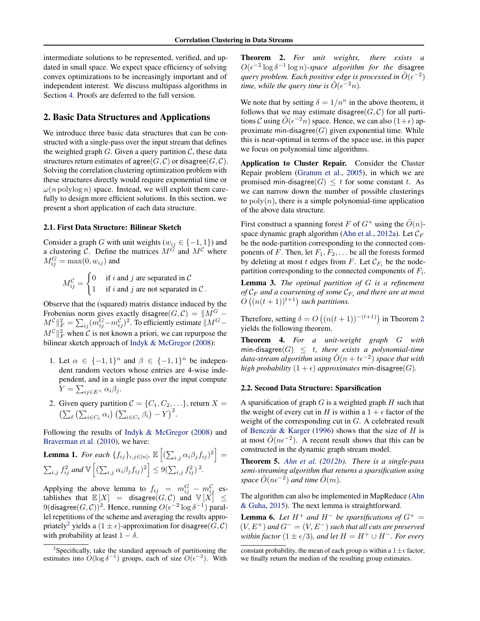<span id="page-3-0"></span>intermediate solutions to be represented, verified, and updated in small space. We expect space efficiency of solving convex optimizations to be increasingly important and of independent interest. We discuss multipass algorithms in Section [4.](#page-8-0) Proofs are deferred to the full version.

# 2. Basic Data Structures and Applications

We introduce three basic data structures that can be constructed with a single-pass over the input stream that defines the weighted graph  $G$ . Given a query partition  $\mathcal{C}$ , these data structures return estimates of agree( $G, C$ ) or disagree( $G, C$ ). Solving the correlation clustering optimization problem with these structures directly would require exponential time or  $\omega(n \text{ polylog } n)$  space. Instead, we will exploit them carefully to design more efficient solutions. In this section, we present a short application of each data structure.

#### 2.1. First Data Structure: Bilinear Sketch

Consider a graph G with unit weights ( $w_{ij} \in \{-1, 1\}$ ) and a clustering  $\hat{C}$ . Define the matrices  $\hat{M}^{\hat{G}}$  and  $\hat{M}^{\hat{C}}$  where  $M_{ij}^G = \max(0, w_{ij})$  and

$$
M_{ij}^{\mathcal{C}} = \begin{cases} 0 & \text{if } i \text{ and } j \text{ are separated in } \mathcal{C} \\ 1 & \text{if } i \text{ and } j \text{ are not separated in } \mathcal{C} \end{cases}.
$$

Observe that the (squared) matrix distance induced by the Frobenius norm gives exactly disagree( $G, C$ ) =  $||M^G M^{\mathcal{C}}\Vert _{F}^{2}=\sum_{ij}(m_{ij}^{G}-m_{ij}^{\mathcal{C}})^{2}.$  To efficiently estimate  $\Vert M^{G} M^{\mathcal{C}}\Vert_F^2$  when  $\mathcal C$  is not known a priori, we can repurpose the bilinear sketch approach of [Indyk & McGregor](#page-10-0) [\(2008\)](#page-10-0):

- 1. Let  $\alpha \in \{-1,1\}^n$  and  $\beta \in \{-1,1\}^n$  be independent random vectors whose entries are 4-wise independent, and in a single pass over the input compute  $Y = \sum_{ij \in E^+} \alpha_i \beta_j.$
- 2. Given query partition  $C = \{C_1, C_2, \ldots\}$ , return  $X =$  $\left(\sum_{\ell}\left(\sum_{i\in C_{\ell}}\alpha_i\right)\left(\sum_{i\in C_{\ell}}\beta_i\right)-Y\right)^2$ .

Following the results of [Indyk & McGregor](#page-10-0) [\(2008\)](#page-10-0) and [Braverman et al.](#page-9-0) [\(2010\)](#page-9-0), we have:

**Lemma 1.** For each 
$$
\{f_{ij}\}_{i,j\in[n]}
$$
,  $\mathbb{E}\left[\left(\sum_{i,j} \alpha_i \beta_j f_{ij}\right)^2\right] = \sum_{i,j} f_{ij}^2$  and  $\mathbb{V}\left[\left(\sum_{i,j} \alpha_i \beta_j f_{ij}\right)^2\right] \leq 9(\sum_{i,j} f_{ij}^2)^2$ .

Applying the above lemma to  $f_{ij} = m_{ij}^G - m_{ij}^G$  establishes that  $\mathbb{E}[X] = \text{disagree}(G, \mathcal{C})$  and  $\mathbb{V}[X] \leq$ 9(disagree $(G, C)$ )<sup>2</sup>. Hence, running  $O(\epsilon^{-2} \log \delta^{-1})$  parallel repetitions of the scheme and averaging the results appropriately<sup>2</sup> yields a  $(1 \pm \epsilon)$ -approximation for disagree $(G, C)$ with probability at least  $1 - \delta$ .

Theorem 2. *For unit weights, there exists a*  $O(\epsilon^{-2} \log \delta^{-1} \log n)$ -space algorithm for the disagree query problem. Each positive edge is processed in  $\tilde{O}(\epsilon^{-2})$ *time, while the query time is*  $\tilde{O}(\epsilon^{-2}n)$ .

We note that by setting  $\delta = 1/n^n$  in the above theorem, it follows that we may estimate disagree( $G, C$ ) for all partitions C using  $\tilde{O}(\epsilon^{-2}n)$  space. Hence, we can also  $(1+\epsilon)$  approximate min-disagree $(G)$  given exponential time. While this is near-optimal in terms of the space use, in this paper we focus on polynomial time algorithms.

Application to Cluster Repair. Consider the Cluster Repair problem [\(Gramm et al.,](#page-10-0) [2005\)](#page-10-0), in which we are promised min-disagree $(G) \leq t$  for some constant t. As we can narrow down the number of possible clusterings to  $poly(n)$ , there is a simple polynomial-time application of the above data structure.

First construct a spanning forest F of  $G^+$  using the  $\tilde{O}(n)$ -space dynamic graph algorithm [\(Ahn et al.,](#page-9-0) [2012a\)](#page-9-0). Let  $\mathcal{C}_F$ be the node-partition corresponding to the connected components of F. Then, let  $F_1, F_2, \ldots$  be all the forests formed by deleting at most t edges from F. Let  $\mathcal{C}_{F_i}$  be the nodepartition corresponding to the connected components of  $F_i$ .

Lemma 3. *The optimal partition of* G *is a refinement of*  $C_F$  *and a coarsening of some*  $C_{F_i}$  *and there are at most*  $O((n(t+1))^{t+1})$  such partitions.

Therefore, setting  $\delta = O((n(t+1))^{-(t+1)})$  in Theorem 2 yields the following theorem.

Theorem 4. *For a unit-weight graph* G *with* min-disagree $(G) \leq t$ , there exists a polynomial-time  $data\text{-}stream$  algorithm using  $\tilde{O}(n+t\epsilon^{-2})$  space that with *high probability*  $(1 + \epsilon)$  *approximates* min-disagree $(G)$ *.* 

## 2.2. Second Data Structure: Sparsification

A sparsification of graph  $G$  is a weighted graph  $H$  such that the weight of every cut in H is within a  $1 + \epsilon$  factor of the weight of the corresponding cut in G. A celebrated result of Benczúr & Karger [\(1996\)](#page-9-0) shows that the size of  $H$  is at most  $\tilde{O}(n\epsilon^{-2})$ . A recent result shows that this can be constructed in the dynamic graph stream model.

Theorem 5. *[Ahn et al.](#page-9-0) [\(2012b\)](#page-9-0). There is a single-pass semi-streaming algorithm that returns a sparsification using space*  $O(n\epsilon^{-2})$  *and time*  $O(m)$ *.* 

The algorithm can also be implemented in MapReduce [\(Ahn](#page-9-0) [& Guha,](#page-9-0) [2015\)](#page-9-0). The next lemma is straightforward.

**Lemma 6.** Let  $H^+$  and  $H^-$  be sparsifications of  $G^+$  =  $(V, E^+)$  *and*  $G^- = (V, E^-)$  *such that all cuts are preserved within factor*  $(1 \pm \epsilon/3)$ *, and let*  $H = H^+ \cup H^-$ *. For every* 

<sup>&</sup>lt;sup>2</sup>Specifically, take the standard approach of partitioning the estimates into  $O(\log \delta^{-1})$  groups, each of size  $O(\epsilon^{-2})$ . With

constant probability, the mean of each group is within a  $1 \pm \epsilon$  factor; we finally return the median of the resulting group estimates.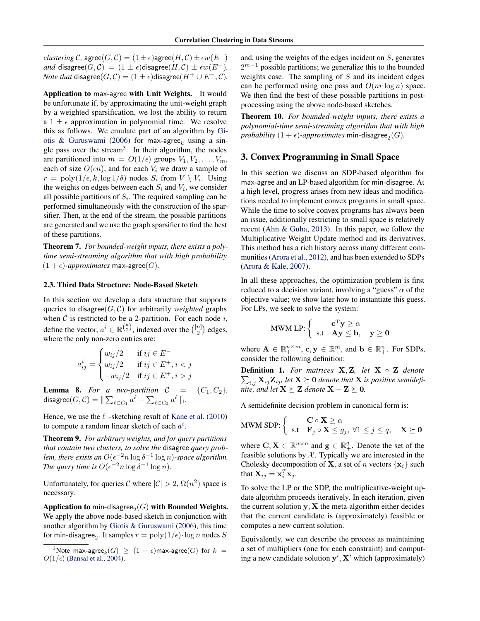<span id="page-4-0"></span>*clustering* C, agree $(G, C) = (1 \pm \epsilon)$ agree $(H, C) \pm \epsilon w(E^+)$ *and* disagree( $G, C$ ) =  $(1 \pm \epsilon)$ disagree( $H, C$ )  $\pm \epsilon w(E^{-})$ . *Note that* disagree $(G, C) = (1 \pm \epsilon)$ disagree $(H^+ \cup E^-, C)$ .

Application to max-agree with Unit Weights. It would be unfortunate if, by approximating the unit-weight graph by a weighted sparsification, we lost the ability to return a  $1 \pm \epsilon$  approximation in polynomial time. We resolve this as follows. We emulate part of an algorithm by [Gi](#page-10-0)[otis & Guruswami](#page-10-0) [\(2006\)](#page-10-0) for max-agree<sub>k</sub> using a single pass over the stream<sup>3</sup> . In their algorithm, the nodes are partitioned into  $m = O(1/\epsilon)$  groups  $V_1, V_2, \ldots, V_m$ , each of size  $O(\epsilon n)$ , and for each  $V_i$  we draw a sample of  $r = \text{poly}(1/\epsilon, k, \log 1/\delta)$  nodes  $S_i$  from  $V \setminus V_i$ . Using the weights on edges between each  $S_i$  and  $V_i$ , we consider all possible partitions of  $S_i$ . The required sampling can be performed simultaneously with the construction of the sparsifier. Then, at the end of the stream, the possible partitions are generated and we use the graph sparsifier to find the best of these partitions.

Theorem 7. *For bounded-weight inputs, there exists a polytime semi-streaming algorithm that with high probability*  $(1 + \epsilon)$ *-approximates* max-agree(G).

#### 2.3. Third Data Structure: Node-Based Sketch

In this section we develop a data structure that supports queries to disagree $(G, C)$  for arbitrarily *weighted* graphs when  $C$  is restricted to be a 2-partition. For each node  $i$ , define the vector,  $a^i \in \mathbb{R}^{\binom{n}{2}}$ , indexed over the  $\binom{[n]}{2}$  edges, where the only non-zero entries are:

$$
a_{ij}^i = \begin{cases} w_{ij}/2 & \text{if } ij \in E^- \\ w_{ij}/2 & \text{if } ij \in E^+, i < j \\ -w_{ij}/2 & \text{if } ij \in E^+, i > j \end{cases}
$$

**Lemma 8.** For a two-partition  $C = \{C_1, C_2\}$ ,  $\operatorname{\sf disagree}(G, \mathcal{C}) = \| \sum_{\ell \in C_1} a^\ell - \sum_{\ell \in C_2} a^\ell \|_1.$ 

Hence, we use the  $\ell_1$ -sketching result of [Kane et al.](#page-10-0) [\(2010\)](#page-10-0) to compute a random linear sketch of each  $a^i$ .

Theorem 9. *For arbitrary weights, and for query partitions that contain two clusters, to solve the* disagree *query prob*lem, there exists an  $O(\epsilon^{-2} n \log \delta^{-1} \log n)$ -space algorithm. *The query time is*  $O(\epsilon^{-2} n \log \delta^{-1} \log n)$ *.* 

Unfortunately, for queries C where  $|\mathcal{C}| > 2$ ,  $\Omega(n^2)$  space is necessary.

Application to min-disagree $_2(G)$  with Bounded Weights. We apply the above node-based sketch in conjunction with another algorithm by [Giotis & Guruswami](#page-10-0) [\(2006\)](#page-10-0), this time for min-disagree<sub>2</sub>. It samples  $r = \text{poly}(1/\epsilon) \cdot \log n$  nodes  $S$ 

and, using the weights of the edges incident on S, generates  $2^{m-1}$  possible partitions; we generalize this to the bounded weights case. The sampling of  $S$  and its incident edges can be performed using one pass and  $O(nr \log n)$  space. We then find the best of these possible partitions in postprocessing using the above node-based sketches.

Theorem 10. *For bounded-weight inputs, there exists a polynomial-time semi-streaming algorithm that with high*  $\textit{probability}~(1+\epsilon)$ - $\textit{approximates}~\textsf{min\text{-}disagree}_2(G)$ .

# 3. Convex Programming in Small Space

In this section we discuss an SDP-based algorithm for max-agree and an LP-based algorithm for min-disagree. At a high level, progress arises from new ideas and modifications needed to implement convex programs in small space. While the time to solve convex programs has always been an issue, additionally restricting to small space is relatively recent [\(Ahn & Guha,](#page-9-0) [2013\)](#page-9-0). In this paper, we follow the Multiplicative Weight Update method and its derivatives. This method has a rich history across many different communities [\(Arora et al.,](#page-9-0) [2012\)](#page-9-0), and has been extended to SDPs [\(Arora & Kale,](#page-9-0) [2007\)](#page-9-0).

In all these approaches, the optimization problem is first reduced to a decision variant, involving a "guess"  $\alpha$  of the objective value; we show later how to instantiate this guess. For LPs, we seek to solve the system:

$$
\text{MWM LP:} \left\{ \begin{array}{ll} \mathbf{c}^{\mathrm{T}} \mathbf{y} \geq \alpha \\ \text{s.t} & \mathbf{A} \mathbf{y} \leq \mathbf{b}, \quad \mathbf{y} \geq \mathbf{0} \end{array} \right.
$$

where  $\mathbf{A} \in \mathbb{R}_+^{n \times m}$ ,  $\mathbf{c}, \mathbf{y} \in \mathbb{R}_+^m$ , and  $\mathbf{b} \in \mathbb{R}_+^n$ . For SDPs, consider the following definition:

Definition 1. *For matrices* X, Z*, let* X ◦ Z *denote*  $\sum_{i,j} \mathbf{X}_{ij} \mathbf{Z}_{ij}$ , let  $\mathbf{X} \succeq \mathbf{0}$  denote that  $\mathbf{X}$  is positive semidefi*nite, and let*  $X \succeq Z$  *denote*  $X - Z \succeq 0$ *.* 

A semidefinite decision problem in canonical form is:

$$
\text{MWM SDP:} \left\{ \begin{array}{ll} \mathbf{C} \circ \mathbf{X} \ge \alpha \\ \text{s.t} & \mathbf{F}_j \circ \mathbf{X} \le g_j, \ \forall 1 \le j \le q, \quad \mathbf{X} \succeq \mathbf{0} \end{array} \right.
$$

where  $C, X \in \mathbb{R}^{n \times n}$  and  $g \in \mathbb{R}_+^q$ . Denote the set of the feasible solutions by  $X$ . Typically we are interested in the Cholesky decomposition of **X**, a set of *n* vectors  $\{x_i\}$  such that  $\mathbf{X}_{ij} = \mathbf{x}_i^T \mathbf{x}_j$ .

To solve the LP or the SDP, the multiplicative-weight update algorithm proceeds iteratively. In each iteration, given the current solution  $y$ ,  $X$  the meta-algorithm either decides that the current candidate is (approximately) feasible or computes a new current solution.

Equivalently, we can describe the process as maintaining a set of multipliers (one for each constraint) and computing a new candidate solution  $y'$ ,  $X'$  which (approximately)

 $^3\rm{Note}$  max-agree $_k(G)\ \geq\ (1-\epsilon)$ max-agree $(G)$  for  $k\ =$  $O(1/\epsilon)$  [\(Bansal et al.,](#page-9-0) [2004\)](#page-9-0).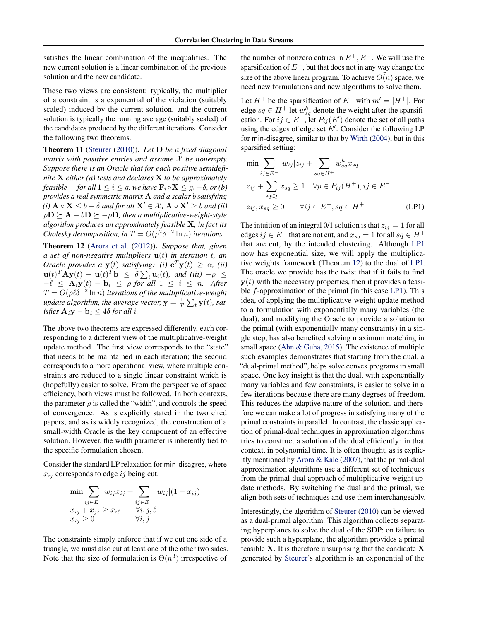<span id="page-5-0"></span>satisfies the linear combination of the inequalities. The new current solution is a linear combination of the previous solution and the new candidate.

These two views are consistent: typically, the multiplier of a constraint is a exponential of the violation (suitably scaled) induced by the current solution, and the current solution is typically the running average (suitably scaled) of the candidates produced by the different iterations. Consider the following two theorems.

Theorem 11 [\(Steurer](#page-10-0) [\(2010\)](#page-10-0)). *Let* D *be a fixed diagonal matrix with positive entries and assume* X *be nonempty. Suppose there is an Oracle that for each positive semidefinite* X *either (a) tests and declares* X *to be approximately feasible — for all*  $1 \leq i \leq q$ *, we have*  $\mathbf{F}_i \circ \mathbf{X} \leq g_i + \delta$ *, or (b) provides a real symmetric matrix* A *and a scalar* b *satisfying (i)*  $A \circ X \leq b - \delta$  *and for all*  $X' \in \mathcal{X}$ *,*  $A \circ X' \geq b$  *and (ii)*  $\rho \mathbf{D} \succeq \mathbf{A} - b \mathbf{D} \succeq -\rho \mathbf{D}$ , then a multiplicative-weight-style *algorithm produces an approximately feasible* X*, in fact its Cholesky decomposition, in*  $T = O(\rho^2 \delta^{-2} \ln n)$  *iterations.* 

Theorem 12 [\(Arora et al.](#page-9-0) [\(2012\)](#page-9-0)). *Suppose that, given a set of non-negative multipliers* u(t) *in iteration* t*, an Oracle provides a*  $y(t)$  *satisfying:* (i)  $c^T y(t) \geq \alpha$ , (ii)  $\mathbf{u}(t)^T \mathbf{A} \mathbf{y}(t) - \mathbf{u}(t)^T \mathbf{b} \leq \delta \sum_i \mathbf{u}_i(t)$ , and (iii)  $-\rho \leq$  $-\ell \leq \mathbf{A}_i \mathbf{y}(t) - \mathbf{b}_i \leq \rho$  for all  $1 \leq i \leq n$ . After  $T = O(\rho \ell \delta^{-2} \ln n)$  *iterations of the multiplicative-weight update algorithm, the average vector,*  $\mathbf{y} = \frac{1}{T} \sum_t \mathbf{y}(t)$ *, satisfies*  $\mathbf{A}_i \mathbf{y} - \mathbf{b}_i$  ≤ 4 $\delta$  *for all i.* 

The above two theorems are expressed differently, each corresponding to a different view of the multiplicative-weight update method. The first view corresponds to the "state" that needs to be maintained in each iteration; the second corresponds to a more operational view, where multiple constraints are reduced to a single linear constraint which is (hopefully) easier to solve. From the perspective of space efficiency, both views must be followed. In both contexts, the parameter  $\rho$  is called the "width", and controls the speed of convergence. As is explicitly stated in the two cited papers, and as is widely recognized, the construction of a small-width Oracle is the key component of an effective solution. However, the width parameter is inherently tied to the specific formulation chosen.

Consider the standard LP relaxation for min-disagree, where  $x_{ij}$  corresponds to edge  $ij$  being cut.

$$
\min \sum_{ij \in E^+} w_{ij} x_{ij} + \sum_{ij \in E^-} |w_{ij}| (1 - x_{ij})
$$
  

$$
x_{ij} + x_{j\ell} \ge x_{i\ell} \qquad \forall i, j, \ell
$$
  

$$
x_{ij} \ge 0 \qquad \forall i, j
$$

The constraints simply enforce that if we cut one side of a triangle, we must also cut at least one of the other two sides. Note that the size of formulation is  $\Theta(n^3)$  irrespective of

the number of nonzero entries in  $E^+, E^-$ . We will use the sparsification of  $E^+$ , but that does not in any way change the size of the above linear program. To achieve  $O(n)$  space, we need new formulations and new algorithms to solve them.

Let  $H^+$  be the sparsification of  $E^+$  with  $m' = |H^+|$ . For edge  $sq \in H^+$  let  $w_{sq}^h$  denote the weight after the sparsification. For  $ij \in E^-$ , let  $P_{ij}(E')$  denote the set of all paths using the edges of edge set  $E'$ . Consider the following LP for min-disagree, similar to that by [Wirth](#page-10-0) [\(2004\)](#page-10-0), but in this sparsified setting:

$$
\min \sum_{ij \in E^-} |w_{ij}| z_{ij} + \sum_{sq \in H^+} w_{sq}^h x_{sq}
$$
  
\n
$$
z_{ij} + \sum_{sq \in p} x_{sq} \ge 1 \quad \forall p \in P_{ij}(H^+), ij \in E^-
$$
  
\n
$$
z_{ij}, x_{sq} \ge 0 \qquad \forall ij \in E^-, sq \in H^+ \tag{LP1}
$$

The intuition of an integral 0/1 solution is that  $z_{ij} = 1$  for all edges  $ij \in E^-$  that are not cut, and  $x_{sq} = 1$  for all  $sq \in H^+$ that are cut, by the intended clustering. Although LP1 now has exponential size, we will apply the multiplicative weights framework (Theorem 12) to the dual of LP1. The oracle we provide has the twist that if it fails to find  $y(t)$  with the necessary properties, then it provides a feasible  $f$ -approximation of the primal (in this case LP1). This idea, of applying the multiplicative-weight update method to a formulation with exponentially many variables (the dual), and modifying the Oracle to provide a solution to the primal (with exponentially many constraints) in a single step, has also benefited solving maximum matching in small space [\(Ahn & Guha,](#page-9-0) [2015\)](#page-9-0). The existence of multiple such examples demonstrates that starting from the dual, a "dual-primal method", helps solve convex programs in small space. One key insight is that the dual, with exponentially many variables and few constraints, is easier to solve in a few iterations because there are many degrees of freedom. This reduces the adaptive nature of the solution, and therefore we can make a lot of progress in satisfying many of the primal constraints in parallel. In contrast, the classic application of primal-dual techniques in approximation algorithms tries to construct a solution of the dual efficiently: in that context, in polynomial time. It is often thought, as is explicitly mentioned by [Arora & Kale](#page-9-0) [\(2007\)](#page-9-0), that the primal-dual approximation algorithms use a different set of techniques from the primal-dual approach of multiplicative-weight update methods. By switching the dual and the primal, we align both sets of techniques and use them interchangeably.

Interestingly, the algorithm of [Steurer](#page-10-0) [\(2010\)](#page-10-0) can be viewed as a dual-primal algorithm. This algorithm collects separating hyperplanes to solve the dual of the SDP: on failure to provide such a hyperplane, the algorithm provides a primal feasible  $X$ . It is therefore unsurprising that the candidate  $X$ generated by [Steurer'](#page-10-0)s algorithm is an exponential of the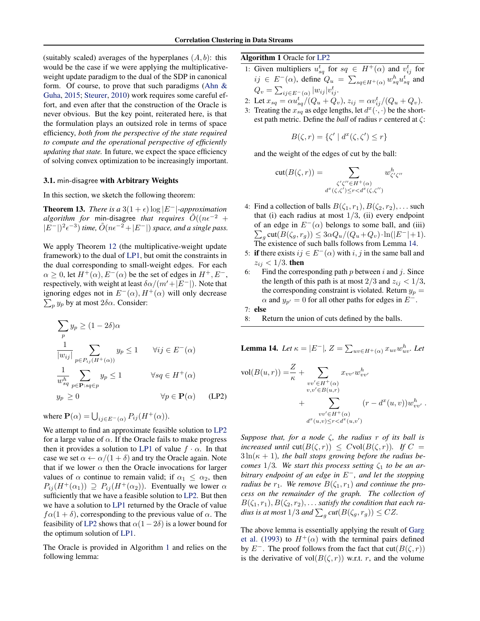<span id="page-6-0"></span>(suitably scaled) averages of the hyperplanes  $(A, b)$ : this would be the case if we were applying the multiplicativeweight update paradigm to the dual of the SDP in canonical form. Of course, to prove that such paradigms (Ahn  $\&$ [Guha,](#page-9-0) [2015;](#page-9-0) [Steurer,](#page-10-0) [2010\)](#page-10-0) work requires some careful effort, and even after that the construction of the Oracle is never obvious. But the key point, reiterated here, is that the formulation plays an outsized role in terms of space efficiency, *both from the perspective of the state required to compute and the operational perspective of efficiently updating that state.* In future, we expect the space efficiency of solving convex optimization to be increasingly important.

#### 3.1. min-disagree with Arbitrary Weights

In this section, we sketch the following theorem:

**Theorem 13.** *There is a*  $3(1 + \epsilon) \log |E^{-}|$ *-approximation algorithm for* min-disagree *that requires*  $\tilde{O}((n\epsilon^{-2} +$  $|E^{-}|^2 \epsilon^{-3}$  *time,*  $\tilde{O}(n\epsilon^{-2} + |E^{-}|)$  *space, and a single pass.* 

We apply Theorem [12](#page-5-0) (the multiplicative-weight update framework) to the dual of [LP1,](#page-5-0) but omit the constraints in the dual corresponding to small-weight edges. For each  $\alpha \geq 0$ , let  $H^+(\alpha)$ ,  $E^-(\alpha)$  be the set of edges in  $H^+, E^-,$ respectively, with weight at least  $\delta \alpha/(m^{\prime}+|E^{-}|)$ . Note that ignoring edges not in  $E^-(\alpha)$ ,  $H^+(\alpha)$  will only decrease  $\sum_p y_p$  by at most  $2\delta\alpha$ . Consider:

$$
\sum_{p} y_{p} \ge (1 - 2\delta)\alpha
$$
\n
$$
\frac{1}{|w_{ij}|} \sum_{p \in P_{ij}(H^{+}(\alpha))} y_{p} \le 1 \quad \forall ij \in E^{-}(\alpha)
$$
\n
$$
\frac{1}{w_{sq}^{h}} \sum_{p \in \mathbf{P}: sq \in p} y_{p} \le 1 \quad \forall sq \in H^{+}(\alpha)
$$
\n
$$
y_{p} \ge 0 \quad \forall p \in \mathbf{P}(\alpha) \quad (\text{LP2})
$$

where  $\mathbf{P}(\alpha) = \bigcup_{ij \in E^-(\alpha)} P_{ij}(H^+(\alpha)).$ 

We attempt to find an approximate feasible solution to LP2 for a large value of  $\alpha$ . If the Oracle fails to make progress then it provides a solution to [LP1](#page-5-0) of value  $f \cdot \alpha$ . In that case we set  $\alpha \leftarrow \alpha/(1+\delta)$  and try the Oracle again. Note that if we lower  $\alpha$  then the Oracle invocations for larger values of  $\alpha$  continue to remain valid; if  $\alpha_1 \leq \alpha_2$ , then  $P_{ij}(H^+(\alpha_1)) \supseteq P_{ij}(H^+(\alpha_2))$ . Eventually we lower  $\alpha$ sufficiently that we have a feasible solution to LP2. But then we have a solution to [LP1](#page-5-0) returned by the Oracle of value  $f\alpha(1+\delta)$ , corresponding to the previous value of  $\alpha$ . The feasibility of LP2 shows that  $\alpha(1-2\delta)$  is a lower bound for the optimum solution of [LP1.](#page-5-0)

The Oracle is provided in Algorithm 1 and relies on the following lemma:

#### Algorithm 1 Oracle for LP2

- 1: Given multipliers  $u_{sq}^t$  for  $sq \in H^+(\alpha)$  and  $v_{ij}^t$  for  $ij \in E^-(\alpha)$ , define  $Q_u = \sum_{sq \in H^+(\alpha)} w_{sq}^h u_{sq}^t$  and  $Q_v = \sum_{ij \in E^-(\alpha)} |w_{ij}| v_{ij}^t.$
- 2: Let  $x_{sq} = \alpha u_{sq}^t / (Q_u + Q_v)$ ,  $z_{ij} = \alpha v_{ij}^t / (Q_u + Q_v)$ .
- 3: Treating the  $x_{sq}^i$  as edge lengths, let  $d^x(\cdot, \cdot)$  be the shortest path metric. Define the *ball* of radius r centered at ζ:

$$
B(\zeta, r) = \{ \zeta' \mid d^x(\zeta, \zeta') \le r \}
$$

and the weight of the edges of cut by the ball:

$$
cut(B(\zeta,r)) = \sum_{\substack{\zeta'\zeta'' \in H^+(\alpha) \\ d^x(\zeta,\zeta') \le r < d^x(\zeta,\zeta'')}} w_{\zeta'\zeta''}^h
$$

- 4: Find a collection of balls  $B(\zeta_1, r_1), B(\zeta_2, r_2), \ldots$  such that (i) each radius at most  $1/3$ , (ii) every endpoint of an edge in  $E^{-}(\alpha)$  belongs to some ball, and (iii)  $\sum_{g} \text{cut}(B(\zeta_g, r_g)) \leq 3\alpha Q_u/(Q_u+Q_v) \cdot \ln(|E^-|+1).$ The existence of such balls follows from Lemma 14.
- 5: if there exists  $ij \in E^{-}(\alpha)$  with i, j in the same ball and  $z_{ij} < 1/3$ . then
- 6: Find the corresponding path  $p$  between  $i$  and  $j$ . Since the length of this path is at most 2/3 and  $z_{ij}$  < 1/3, the corresponding constraint is violated. Return  $y_p =$  $\alpha$  and  $y_{p'}=0$  for all other paths for edges in  $E^-$ .
- 7: else
- 8: Return the union of cuts defined by the balls.

**Lemma 14.** Let  $\kappa = |E^-|$ ,  $Z = \sum_{uv \in H^+(\alpha)} x_{uv} w_{uv}^h$ . Let

$$
\text{vol}(B(u,r)) = \frac{Z}{\kappa} + \sum_{\substack{vv' \in H^+(\alpha) \\ v,v' \in B(u,r)}} x_{vv'} w_{vv'}^h + \sum_{\substack{vv' \in H^+(\alpha) \\ w' \in H^+(\alpha) \\ d^x(u,v) \le r < d^x(u,v')}} (r - d^x(u,v)) w_{vv'}^h.
$$

*Suppose that, for a node* ζ*, the radius* r *of its ball is increased until*  $cut(B(\zeta, r)) \leq Cvol(B(\zeta, r))$ *. If*  $C =$  $3\ln(\kappa+1)$ *, the ball stops growing before the radius becomes*  $1/3$ *. We start this process setting*  $\zeta_1$  *to be an arbitrary endpoint of an edge in* E<sup>−</sup>*, and let the stopping radius be*  $r_1$ *. We remove*  $B(\zeta_1, r_1)$  *and continue the process on the remainder of the graph. The collection of*  $B(\zeta_1,r_1), B(\zeta_2,r_2), \ldots$  *satisfy the condition that each ra*dius is at most  $1/3$  and  $\sum_g cut(B(\zeta_g, r_g)) \le CZ$ .

The above lemma is essentially applying the result of [Garg](#page-9-0) [et al.](#page-9-0) [\(1993\)](#page-9-0) to  $H^+(\alpha)$  with the terminal pairs defined by  $E^-$ . The proof follows from the fact that cut( $B(\zeta, r)$ ) is the derivative of  $vol(B(\zeta, r))$  w.r.t. r, and the volume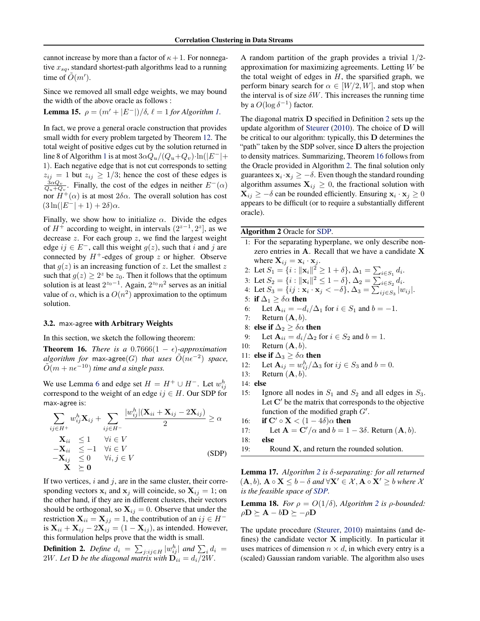<span id="page-7-0"></span>cannot increase by more than a factor of  $\kappa + 1$ . For nonnegative  $x_{sq}$ , standard shortest-path algorithms lead to a running time of  $\tilde{O}(m')$ .

Since we removed all small edge weights, we may bound the width of the above oracle as follows :

Lemma 15.  $\rho = (m' + |E^-|)/\delta$ ,  $\ell = 1$  *for Algorithm [1.](#page-6-0)* 

In fact, we prove a general oracle construction that provides small width for every problem targeted by Theorem [12.](#page-5-0) The total weight of positive edges cut by the solution returned in line 8 of Algorithm [1](#page-6-0) is at most  $3\alpha Q_u/(Q_u+Q_v)\cdot \ln(|E^-|+$ 1). Each negative edge that is not cut corresponds to setting  $z_{ij} = 1$  but  $z_{ij} \geq 1/3$ ; hence the cost of these edges is  $\frac{3\alpha Q_v}{Q_u+Q_v}$ . Finally, the cost of the edges in neither  $E^-(\alpha)$ nor  $H^+(\alpha)$  is at most  $2\delta\alpha$ . The overall solution has cost  $(3\ln(|E^-|+1)+2\delta)\alpha$ .

Finally, we show how to initialize  $\alpha$ . Divide the edges of  $H^+$  according to weight, in intervals  $(2^{z-1}, 2^z)$ , as we decrease z. For each group z, we find the largest weight edge  $ij \in E^-$ , call this weight  $g(z)$ , such that i and j are connected by  $H^+$ -edges of group z or higher. Observe that  $g(z)$  is an increasing function of z. Let the smallest z such that  $g(z) \geq 2^z$  be  $z_0$ . Then it follows that the optimum solution is at least  $2^{z_0-1}$ . Again,  $2^{z_0}n^2$  serves as an initial value of  $\alpha$ , which is a  $O(n^2)$  approximation to the optimum solution.

## 3.2. max-agree with Arbitrary Weights

In this section, we sketch the following theorem:

**Theorem 16.** *There is a*  $0.7666(1 - \epsilon)$ *-approximation*  $algorithms$  for max-agree(G) that uses  $O(n\epsilon^{-2})$  space,  $\tilde{O}(m + n\epsilon^{-10})$  *time and a single pass.* 

We use Lemma [6](#page-3-0) and edge set  $H = H^+ \cup H^-$ . Let  $w_{ij}^h$ correspond to the weight of an edge  $ij \in H$ . Our SDP for max-agree is:

$$
\sum_{ij \in H^+} w_{ij}^h \mathbf{X}_{ij} + \sum_{ij \in H^-} \frac{|w_{ij}^h|(\mathbf{X}_{ii} + \mathbf{X}_{ij} - 2\mathbf{X}_{ij})|}{2} \ge \alpha
$$
\n
$$
\mathbf{X}_{ii} \le 1 \quad \forall i \in V
$$
\n
$$
-\mathbf{X}_{ii} \le -1 \quad \forall i \in V
$$
\n
$$
-\mathbf{X}_{ij} \le 0 \quad \forall i, j \in V
$$
\n(SDP)\n
$$
\mathbf{X} \ge \mathbf{0}
$$

If two vertices,  $i$  and  $j$ , are in the same cluster, their corresponding vectors  $x_i$  and  $x_j$  will coincide, so  $X_{ij} = 1$ ; on the other hand, if they are in different clusters, their vectors should be orthogonal, so  $X_{ij} = 0$ . Observe that under the restriction  $X_{ii} = X_{jj} = 1$ , the contribution of an  $ij \in H^$ is  $X_{ii} + X_{ij} - 2X_{ij} = (1 - X_{ij})$ , as intended. However, this formulation helps prove that the width is small.

**Definition 2.** Define  $d_i = \sum_{j:i j \in H} |w_{ij}^h|$  and  $\sum_i d_i =$  $2W$ *. Let*  $\bf{D}$  *be the diagonal matrix with*  $\bf{D}_{ii} = d_i/2W$ *.* 

A random partition of the graph provides a trivial 1/2 approximation for maximizing agreements. Letting  $W$  be the total weight of edges in  $H$ , the sparsified graph, we perform binary search for  $\alpha \in [W/2, W]$ , and stop when the interval is of size  $\delta W$ . This increases the running time by a  $O(\log \delta^{-1})$  factor.

The diagonal matrix D specified in Definition 2 sets up the update algorithm of [Steurer](#page-10-0) [\(2010\)](#page-10-0). The choice of D will be critical to our algorithm: typically, this D determines the "path" taken by the SDP solver, since  $D$  alters the projection to density matrices. Summarizing, Theorem 16 follows from the Oracle provided in Algorithm 2. The final solution only guarantees  $\mathbf{x}_i \cdot \mathbf{x}_j \geq -\delta$ . Even though the standard rounding algorithm assumes  $X_{ij} \geq 0$ , the fractional solution with  $\mathbf{X}_{ij} \geq -\delta$  can be rounded efficiently. Ensuring  $\mathbf{x}_i \cdot \mathbf{x}_j \geq 0$ appears to be difficult (or to require a substantially different oracle).

## Algorithm 2 Oracle for SDP.

- 1: For the separating hyperplane, we only describe nonzero entries in A. Recall that we have a candidate X where  $X_{ij} = x_i \cdot x_j$ .
- 2: Let  $S_1 = \{i : ||\mathbf{x}_i||^2 \ge 1 + \delta\}, \Delta_1 = \sum_{i \in S_1} d_i.$
- 3: Let  $S_2 = \{i : ||\mathbf{x}_i||^2 \leq 1 \delta\}, \Delta_2 = \sum_{i \in S_2} d_i.$
- 4: Let  $S_3 = \{ij : \mathbf{x}_i \cdot \mathbf{x}_j < -\delta\}, \Delta_3 = \sum_{ij \in S_3} |w_{ij}|.$
- 5: if  $\Delta_1 \geq \delta \alpha$  then
- 6: Let  $\mathbf{A}_{ii} = -d_i/\Delta_1$  for  $i \in S_1$  and  $b = -1$ .
- 7: Return  $(**A**, b)$ .
- 8: else if  $\Delta_2 \geq \delta \alpha$  then
- 9: Let  $\mathbf{A}_{ii} = d_i/\Delta_2$  for  $i \in S_2$  and  $b = 1$ .
- 10: Return  $(**A**, b)$ .
- 11: else if  $\Delta_3 \geq \delta \alpha$  then
- 12: Let  $\mathbf{A}_{ij} = w_{ij}^h / \Delta_3$  for  $ij \in S_3$  and  $b = 0$ .
- 13: Return  $(**A**, b)$ .

14: else

- 15: Ignore all nodes in  $S_1$  and  $S_2$  and all edges in  $S_3$ . Let  $C'$  be the matrix that corresponds to the objective function of the modified graph  $G'$ .
- 16: **if**  $C' \circ X < (1 4\delta)\alpha$  then
- 17: Let  $\mathbf{A} = \mathbf{C}'/\alpha$  and  $b = 1 3\delta$ . Return  $(\mathbf{A}, b)$ .
- 18: else
- 19: Round X, and return the rounded solution.

Lemma 17. *Algorithm 2 is* δ*-separating: for all returned*  $(A, b)$ ,  $A \circ X \leq b - \delta$  and  $\forall X' \in \mathcal{X}, A \circ X' \geq b$  where  $\mathcal{X}$ *is the feasible space of SDP.*

**Lemma 18.** *For*  $\rho = O(1/\delta)$ *, Algorithm 2 is*  $\rho$ *-bounded:*  $\rho \mathbf{D} \succeq \mathbf{A} - b \mathbf{D} \succeq -\rho \mathbf{D}$ 

The update procedure [\(Steurer,](#page-10-0) [2010\)](#page-10-0) maintains (and defines) the candidate vector  $X$  implicitly. In particular it uses matrices of dimension  $n \times d$ , in which every entry is a (scaled) Gaussian random variable. The algorithm also uses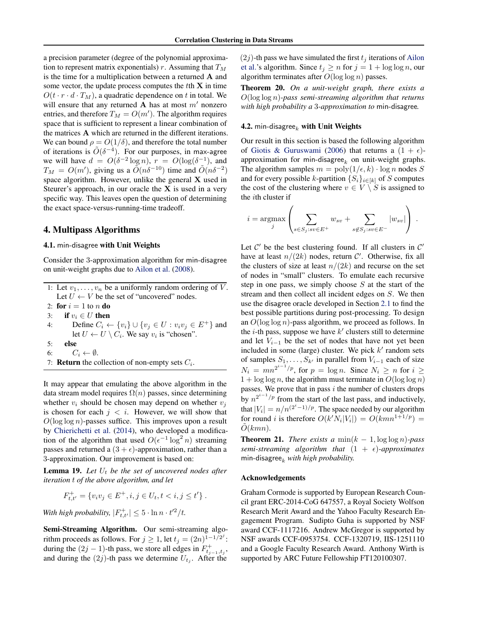<span id="page-8-0"></span>a precision parameter (degree of the polynomial approximation to represent matrix exponentials) r. Assuming that  $T_M$ is the time for a multiplication between a returned A and some vector, the update process computes the  $t$ th  $X$  in time  $O(t \cdot r \cdot d \cdot T_M)$ , a quadratic dependence on t in total. We will ensure that any returned **A** has at most  $m'$  nonzero entries, and therefore  $T_M = O(m')$ . The algorithm requires space that is sufficient to represent a linear combination of the matrices A which are returned in the different iterations. We can bound  $\rho = O(1/\delta)$ , and therefore the total number of iterations is  $\tilde{O}(\delta^{-4})$ . For our purposes, in max-agree we will have  $d = O(\delta^{-2} \log n)$ ,  $r = O(\log(\delta^{-1}))$ , and  $T_M = O(m')$ , giving us a  $\tilde{O}(n\delta^{-10})$  time and  $\tilde{O}(n\delta^{-2})$ space algorithm. However, unlike the general X used in Steurer's approach, in our oracle the  $X$  is used in a very specific way. This leaves open the question of determining the exact space-versus-running-time tradeoff.

## 4. Multipass Algorithms

## 4.1. min-disagree with Unit Weights

Consider the 3-approximation algorithm for min-disagree on unit-weight graphs due to [Ailon et al.](#page-9-0) [\(2008\)](#page-9-0).

1: Let  $v_1, \ldots, v_n$  be a uniformly random ordering of  $\overline{V}$ . Let  $U \leftarrow V$  be the set of "uncovered" nodes.

2: for  $i = 1$  to n do

3: if  $v_i \in U$  then

4: Define  $C_i \leftarrow \{v_i\} \cup \{v_j \in U : v_i v_j \in E^+\}$  and let  $U \leftarrow U \setminus C_i$ . We say  $v_i$  is "chosen".

- 5: else
- 6:  $C_i \leftarrow \emptyset$ .
- 7: **Return** the collection of non-empty sets  $C_i$ .

It may appear that emulating the above algorithm in the data stream model requires  $\Omega(n)$  passes, since determining whether  $v_i$  should be chosen may depend on whether  $v_i$ is chosen for each  $j < i$ . However, we will show that  $O(\log \log n)$ -passes suffice. This improves upon a result by [Chierichetti et al.](#page-9-0) [\(2014\)](#page-9-0), who developed a modification of the algorithm that used  $O(\epsilon^{-1} \log^2 n)$  streaming passes and returned a  $(3 + \epsilon)$ -approximation, rather than a 3-approximation. Our improvement is based on:

**Lemma 19.** Let  $U_t$  be the set of uncovered nodes after *iteration* t *of the above algorithm, and let*

$$
F_{t,t'}^{+} = \{v_i v_j \in E^+, i, j \in U_t, t < i, j \le t'\}.
$$

*With high probability,*  $|F_{t,t'}^+| \leq 5 \cdot \ln n \cdot t'^2/t$ .

Semi-Streaming Algorithm. Our semi-streaming algorithm proceeds as follows. For  $j \ge 1$ , let  $t_j = (2n)^{1-1/2^j}$ : during the  $(2j - 1)$ -th pass, we store all edges in  $F_{t_{j-1}, t_j}^+$ , and during the  $(2j)$ -th pass we determine  $U_{t_j}$ . After the

 $(2j)$ -th pass we have simulated the first  $t_j$  iterations of [Ailon](#page-9-0) [et al.'](#page-9-0)s algorithm. Since  $t_j \ge n$  for  $j = 1 + \log \log n$ , our algorithm terminates after  $O(\log \log n)$  passes.

Theorem 20. *On a unit-weight graph, there exists a* O(log log n)*-pass semi-streaming algorithm that returns with high probability a* 3*-approximation to* min-disagree*.*

### 4.2. min-disagree<sub>k</sub> with Unit Weights

Our result in this section is based the following algorithm of [Giotis & Guruswami](#page-10-0) [\(2006\)](#page-10-0) that returns a  $(1 + \epsilon)$ approximation for min-disagree<sub>k</sub> on unit-weight graphs. The algorithm samples  $m = \text{poly}(1/\epsilon, k) \cdot \log n$  nodes S and for every possible k-partition  $\{S_i\}_{i\in[k]}$  of S computes the cost of the clustering where  $v \in V \setminus S$  is assigned to the ith cluster if

$$
i = \underset{j}{\text{argmax}} \left( \sum_{s \in S_j : sv \in E^+} w_{sv} + \sum_{s \notin S_j : sv \in E^-} |w_{sv}| \right).
$$

Let  $C'$  be the best clustering found. If all clusters in  $C'$ have at least  $n/(2k)$  nodes, return C'. Otherwise, fix all the clusters of size at least  $n/(2k)$  and recurse on the set of nodes in "small" clusters. To emulate each recursive step in one pass, we simply choose  $S$  at the start of the stream and then collect all incident edges on S. We then use the disagree oracle developed in Section [2.1](#page-3-0) to find the best possible partitions during post-processing. To design an  $O(\log \log n)$ -pass algorithm, we proceed as follows. In the  $i$ -th pass, suppose we have  $k'$  clusters still to determine and let  $V_{i-1}$  be the set of nodes that have not yet been included in some (large) cluster. We pick  $k'$  random sets of samples  $S_1, \ldots, S_{k'}$  in parallel from  $V_{i-1}$  each of size  $N_i = mn^{2^{i-1}/p}$ , for  $p = \log n$ . Since  $N_i \ge n$  for  $i \ge n$  $1 + \log \log n$ , the algorithm must terminate in  $O(\log \log n)$ passes. We prove that in pass  $i$  the number of clusters drops by  $n^{2^{i-1}/p}$  from the start of the last pass, and inductively, that  $|V_i| = n/n^{(2^i-1)/p}$ . The space needed by our algorithm for round *i* is therefore  $O(k'N_i|V_i|) = O(kmn^{1+1/p}) =$  $O(kmn)$ .

**Theorem 21.** *There exists a*  $min(k - 1, \log \log n)$ *-pass semi-streaming algorithm that*  $(1 + \epsilon)$ -*approximates* min-disagree $_k$  *with high probability.* 

#### Acknowledgements

Graham Cormode is supported by European Research Council grant ERC-2014-CoG 647557, a Royal Society Wolfson Research Merit Award and the Yahoo Faculty Research Engagement Program. Sudipto Guha is supported by NSF award CCF-1117216. Andrew McGregor is supported by NSF awards CCF-0953754. CCF-1320719, IIS-1251110 and a Google Faculty Research Award. Anthony Wirth is supported by ARC Future Fellowship FT120100307.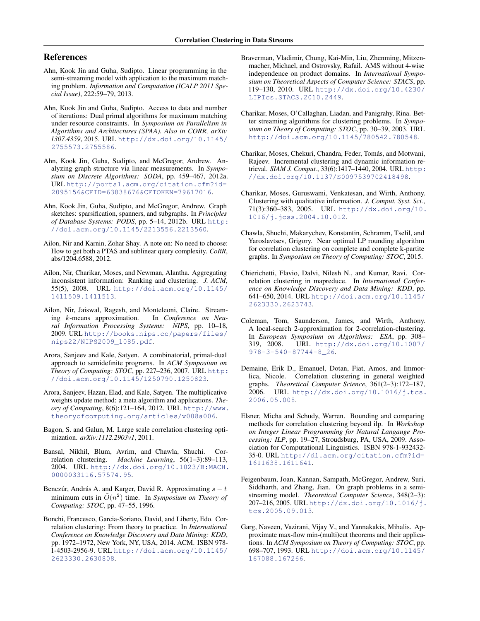# <span id="page-9-0"></span>References

- Ahn, Kook Jin and Guha, Sudipto. Linear programming in the semi-streaming model with application to the maximum matching problem. *Information and Computation (ICALP 2011 Special Issue)*, 222:59–79, 2013.
- Ahn, Kook Jin and Guha, Sudipto. Access to data and number of iterations: Dual primal algorithms for maximum matching under resource constraints. In *Symposium on Parallelism in Algorithms and Architectures (SPAA). Also in CORR, arXiv 1307.4359*, 2015. URL [http://dx.doi.org/10.1145/](http://dx.doi.org/10.1145/2755573.2755586) [2755573.2755586](http://dx.doi.org/10.1145/2755573.2755586).
- Ahn, Kook Jin, Guha, Sudipto, and McGregor, Andrew. Analyzing graph structure via linear measurements. In *Symposium on Discrete Algorithms: SODA*, pp. 459–467, 2012a. URL [http://portal.acm.org/citation.cfm?id=](http://portal.acm.org/citation.cfm?id=2095156&CFID=63838676&CFTOKEN=79617016) [2095156&CFID=63838676&CFTOKEN=79617016](http://portal.acm.org/citation.cfm?id=2095156&CFID=63838676&CFTOKEN=79617016).
- Ahn, Kook Jin, Guha, Sudipto, and McGregor, Andrew. Graph sketches: sparsification, spanners, and subgraphs. In *Principles of Database Systems: PODS*, pp. 5–14, 2012b. URL [http:](http://doi.acm.org/10.1145/2213556.2213560) [//doi.acm.org/10.1145/2213556.2213560](http://doi.acm.org/10.1145/2213556.2213560).
- Ailon, Nir and Karnin, Zohar Shay. A note on: No need to choose: How to get both a PTAS and sublinear query complexity. *CoRR*, abs/1204.6588, 2012.
- Ailon, Nir, Charikar, Moses, and Newman, Alantha. Aggregating inconsistent information: Ranking and clustering. *J. ACM*, 55(5), 2008. URL [http://doi.acm.org/10.1145/](http://doi.acm.org/10.1145/1411509.1411513) [1411509.1411513](http://doi.acm.org/10.1145/1411509.1411513).
- Ailon, Nir, Jaiswal, Ragesh, and Monteleoni, Claire. Stream-<br>ing k-means approximation. In Conference on Neuing *k*-means approximation. *ral Information Processing Systems: NIPS*, pp. 10–18, 2009. URL [http://books.nips.cc/papers/files/](http://books.nips.cc/papers/files/nips22/NIPS2009_1085.pdf) [nips22/NIPS2009\\_1085.pdf](http://books.nips.cc/papers/files/nips22/NIPS2009_1085.pdf).
- Arora, Sanjeev and Kale, Satyen. A combinatorial, primal-dual approach to semidefinite programs. In *ACM Symposium on Theory of Computing: STOC*, pp. 227–236, 2007. URL [http:](http://doi.acm.org/10.1145/1250790.1250823) [//doi.acm.org/10.1145/1250790.1250823](http://doi.acm.org/10.1145/1250790.1250823).
- Arora, Sanjeev, Hazan, Elad, and Kale, Satyen. The multiplicative weights update method: a meta algorithm and applications. *Theory of Computing*, 8(6):121–164, 2012. URL [http://www.](http://www.theoryofcomputing.org/articles/v008a006) [theoryofcomputing.org/articles/v008a006](http://www.theoryofcomputing.org/articles/v008a006).
- Bagon, S. and Galun, M. Large scale correlation clustering optimization. *arXiv:1112.2903v1*, 2011.
- Bansal, Nikhil, Blum, Avrim, and Chawla, Shuchi. Correlation clustering. *Machine Learning*, 56(1–3):89–113, 2004. URL [http://dx.doi.org/10.1023/B:MACH.](http://dx.doi.org/10.1023/B:MACH.0000033116.57574.95) [0000033116.57574.95](http://dx.doi.org/10.1023/B:MACH.0000033116.57574.95).
- Benczúr, András A. and Karger, David R. Approximating  $s t$ minimum cuts in  $\tilde{O}(n^2)$  time. In *Symposium on Theory of Computing: STOC*, pp. 47–55, 1996.
- Bonchi, Francesco, Garcia-Soriano, David, and Liberty, Edo. Correlation clustering: From theory to practice. In *International Conference on Knowledge Discovery and Data Mining: KDD*, pp. 1972–1972, New York, NY, USA, 2014. ACM. ISBN 978- 1-4503-2956-9. URL [http://doi.acm.org/10.1145/](http://doi.acm.org/10.1145/2623330.2630808) [2623330.2630808](http://doi.acm.org/10.1145/2623330.2630808).
- Braverman, Vladimir, Chung, Kai-Min, Liu, Zhenming, Mitzenmacher, Michael, and Ostrovsky, Rafail. AMS without 4-wise independence on product domains. In *International Symposium on Theoretical Aspects of Computer Science: STACS*, pp. 119–130, 2010. URL [http://dx.doi.org/10.4230/](http://dx.doi.org/10.4230/LIPIcs.STACS.2010.2449) [LIPIcs.STACS.2010.2449](http://dx.doi.org/10.4230/LIPIcs.STACS.2010.2449).
- Charikar, Moses, O'Callaghan, Liadan, and Panigrahy, Rina. Better streaming algorithms for clustering problems. In *Symposium on Theory of Computing: STOC*, pp. 30–39, 2003. URL <http://doi.acm.org/10.1145/780542.780548>.
- Charikar, Moses, Chekuri, Chandra, Feder, Tomás, and Motwani, Rajeev. Incremental clustering and dynamic information retrieval. *SIAM J. Comput.*, 33(6):1417–1440, 2004. URL [http:](http://dx.doi.org/10.1137/S0097539702418498) [//dx.doi.org/10.1137/S0097539702418498](http://dx.doi.org/10.1137/S0097539702418498).
- Charikar, Moses, Guruswami, Venkatesan, and Wirth, Anthony. Clustering with qualitative information. *J. Comput. Syst. Sci.*, 71(3):360–383, 2005. URL [http://dx.doi.org/10.](http://dx.doi.org/10.1016/j.jcss.2004.10.012) [1016/j.jcss.2004.10.012](http://dx.doi.org/10.1016/j.jcss.2004.10.012).
- Chawla, Shuchi, Makarychev, Konstantin, Schramm, Tselil, and Yaroslavtsev, Grigory. Near optimal LP rounding algorithm for correlation clustering on complete and complete k-partite graphs. In *Symposium on Theory of Computing: STOC*, 2015.
- Chierichetti, Flavio, Dalvi, Nilesh N., and Kumar, Ravi. Correlation clustering in mapreduce. In *International Conference on Knowledge Discovery and Data Mining: KDD*, pp. 641–650, 2014. URL [http://doi.acm.org/10.1145/](http://doi.acm.org/10.1145/2623330.2623743) [2623330.2623743](http://doi.acm.org/10.1145/2623330.2623743).
- Coleman, Tom, Saunderson, James, and Wirth, Anthony. A local-search 2-approximation for 2-correlation-clustering. In *European Symposium on Algorithms: ESA*, pp. 308– 319, 2008. URL [http://dx.doi.org/10.1007/](http://dx.doi.org/10.1007/978-3-540-87744-8_26) [978-3-540-87744-8\\_26](http://dx.doi.org/10.1007/978-3-540-87744-8_26).
- Demaine, Erik D., Emanuel, Dotan, Fiat, Amos, and Immorlica, Nicole. Correlation clustering in general weighted graphs. *Theoretical Computer Science*, 361(2–3):172–187, 2006. URL [http://dx.doi.org/10.1016/j.tcs.](http://dx.doi.org/10.1016/j.tcs.2006.05.008) [2006.05.008](http://dx.doi.org/10.1016/j.tcs.2006.05.008).
- Elsner, Micha and Schudy, Warren. Bounding and comparing methods for correlation clustering beyond ilp. In *Workshop on Integer Linear Programming for Natural Langauge Processing: ILP*, pp. 19–27, Stroudsburg, PA, USA, 2009. Association for Computational Linguistics. ISBN 978-1-932432- 35-0. URL [http://dl.acm.org/citation.cfm?id=](http://dl.acm.org/citation.cfm?id=1611638.1611641) [1611638.1611641](http://dl.acm.org/citation.cfm?id=1611638.1611641).
- Feigenbaum, Joan, Kannan, Sampath, McGregor, Andrew, Suri, Siddharth, and Zhang, Jian. On graph problems in a semistreaming model. *Theoretical Computer Science*, 348(2–3): 207–216, 2005. URL [http://dx.doi.org/10.1016/j.](http://dx.doi.org/10.1016/j.tcs.2005.09.013) [tcs.2005.09.013](http://dx.doi.org/10.1016/j.tcs.2005.09.013).
- Garg, Naveen, Vazirani, Vijay V., and Yannakakis, Mihalis. Approximate max-flow min-(multi)cut theorems and their applications. In *ACM Symposium on Theory of Computing: STOC*, pp. 698–707, 1993. URL [http://doi.acm.org/10.1145/](http://doi.acm.org/10.1145/167088.167266) [167088.167266](http://doi.acm.org/10.1145/167088.167266).